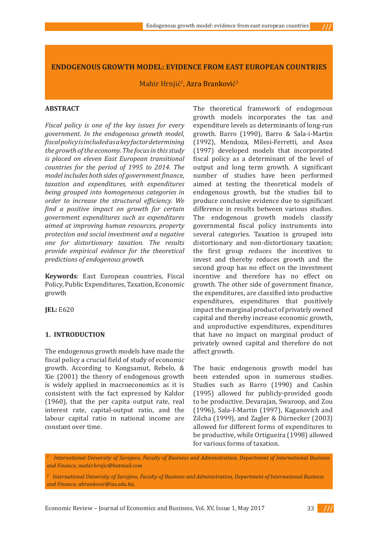$111$ 

# **ENDOGENOUS GROWTH MODEL: EVIDENCE FROM EAST EUROPEAN COUNTRIES**

Mahir Hrnjić<sup>i</sup>, <mark>Azra Brankovi</mark>ć<sup>2</sup>

## **ABSTRACT**

*Fiscal policy is one of the key issues for every government. In the endogenous growth model, fiscal policy is included as a key factor determining the growth of the economy. The focus in this study is placed on eleven East European transitional countries for the period of 1995 to 2014. The model includes both sides of government finance, taxation and expenditures, with expenditures being grouped into homogeneous categories in order to increase the structural efficiency. We find a positive impact on growth for certain government expenditures such as expenditures aimed at improving human resources, property protection and social investment and a negative one for distortionary taxation. The results provide empirical evidence for the theoretical predictions of endogenous growth.* 

**Keywords**: East European countries, Fiscal Policy, Public Expenditures, Taxation, Economic growth

**JEL:** E620

# **1. INTRODUCTION**

The endogenous growth models have made the fiscal policy a crucial field of study of economic growth. According to Kongsamut, Rebelo, & Xie (2001) the theory of endogenous growth is widely applied in macroeconomics as it is consistent with the fact expressed by Kaldor (1960), that the per capita output rate, real interest rate, capital-output ratio, and the labour capital ratio in national income are constant over time.

The theoretical framework of endogenous growth models incorporates the tax and expenditure levels as determinants of long-run growth. Barro (1990), Barro & Sala-i-Martin (1992), Mendoza, Milesi-Ferretti, and Asea (1997) developed models that incorporated fiscal policy as a determinant of the level of output and long term growth. A significant number of studies have been performed aimed at testing the theoretical models of endogenous growth, but the studies fail to produce conclusive evidence due to significant difference in results between various studies. The endogenous growth models classify governmental fiscal policy instruments into several categories. Taxation is grouped into distortionary and non-distortionary taxation; the first group reduces the incentives to invest and thereby reduces growth and the second group has no effect on the investment incentive and therefore has no effect on growth. The other side of government finance, the expenditures, are classified into productive expenditures, expenditures that positively impact the marginal product of privately owned capital and thereby increase economic growth, and unproductive expenditures, expenditures that have no impact on marginal product of privately owned capital and therefore do not affect growth.

The basic endogenous growth model has been extended upon in numerous studies. Studies such as Barro (1990) and Cashin (1995) allowed for publicly-provided goods to be productive. Devarajan, Swaroop, and Zou (1996), Sala-I-Martin (1997), Kaganovich and Zilcha (1999), and Zagler & Dürnecker (2003) allowed for different forms of expenditures to be productive, while Ortigueira (1998) allowed for various forms of taxation.

<sup>1</sup> International University of Sarajevo, Faculty of Business and Administration, Department of International Business *and Finance, mahir.hrnjic@hotmail.com*

*2 International University of Sarajevo, Faculty of Business and Administration, Department of International Business and Finance, abrankovic@ius.edu.ba,* 

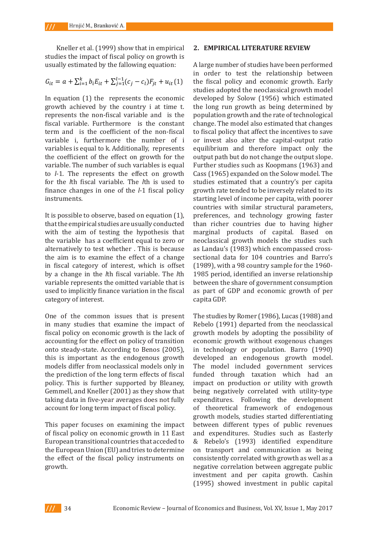Kneller et al. (1999) show that in empirical **2. EMPIRICAL LITE** studies the impact of fiscal policy on growth is usually estimated by the fallowing equation:

$$
G_{it} = a + \sum_{i=1}^{k} b_i E_{it} + \sum_{j=1}^{l-1} (c_j - c_l) F_{jt} + u_{it}(1)
$$
 the

In equation  $(1)$  the represents the economic developed by Solow  $(1956)$  which growth achieved by the country i at time t. the long run growth as being determore  $\epsilon$ represents the non-fiscal variable and is the population growth and the rate of technology of the number of the number of the number of the number of the number of the number of the number of the number of the number of th fiscal variable. Furthermore is the constant change. The model also estimated the effect on growth for the effect on growth for the effect of the effect on growth for the effect of the effect of the effect of the effect of term and is the coefficient of the non-fiscal to fiscal policy that affect the incentive<br>represents is furthermore, the number of issue invest also alter the conital out variable i, furthermore the number of i or invest also alter the capital-out variables is equal to k. Additionally, represents variable. The number of such variables is equal  $\Box$  Further studies such as Koopmans (1) to *l*-1. The represents the effect on growth Cass (1965) expanded on the Solow m<br>for the *l*<sup>th</sup> fiscal variable. The *l*<sup>th</sup> is used to studies estimated that a country's n to zero alternatively to the correct whether  $\frac{1}{100}$  is to the contracted that a country s primary  $\frac{1}{100}$  for  $\frac{1}{100}$  for  $\frac{1}{100}$  for  $\frac{1}{100}$  for  $\frac{1}{100}$  for  $\frac{1}{100}$  for  $\frac{1}{100}$  for  $\frac{1}{$ finance changes in one of the *l*-1 fiscal policy growth rate tended to be inversely relation in the *l* th fiscal policy derivative level of increase a continuation of the *l* term and is the coefficient of the non-fiscal the coefficient of the effect on growth for the for the *l*th fiscal variable. The *l*th is used to instruments.

It is possible to observe, based on equation (1), that the empirical studies are usually conducted with the aim of testing the hypothesis that the variable has a coefficient equal to zero or alternatively to test whether . This is because the aim is to examine the effect of a change in fiscal category of interest, which is offset by a change in the *l*th fiscal variable. The *l*th variable represents the omitted variable that is used to implicitly finance variation in the fiscal category of interest.

One of the common issues that is present in many studies that examine the impact of fiscal policy on economic growth is the lack of accounting for the effect on policy of transition onto steady-state. According to Benos (2005), this is important as the endogenous growth models differ from neoclassical models only in the prediction of the long term effects of fiscal policy. This is further supported by Bleaney, Gemmell, and Kneller (2001) as they show that taking data in five-year averages does not fully account for long term impact of fiscal policy.

This paper focuses on examining the impact of fiscal policy on economic growth in 11 East European transitional countries that acceded to the European Union (EU) and tries to determine the effect of the fiscal policy instruments on growth.

#### **2. EMPIRICAL LITERATURE REVIEW**

A large number of studies have been performed in order to test the relationship between the fiscal policy and economic growth. Early studies adopted the neoclassical growth model developed by Solow (1956) which estimated the long run growth as being determined by population growth and the rate of technological change. The model also estimated that changes to fiscal policy that affect the incentives to save or invest also alter the capital-output ratio equilibrium and therefore impact only the output path but do not change the output slope. Further studies such as Koopmans (1963) and Cass (1965) expanded on the Solow model. The studies estimated that a country's per capita growth rate tended to be inversely related to its starting level of income per capita, with poorer countries with similar structural parameters, preferences, and technology growing faster than richer countries due to having higher marginal products of capital. Based on neoclassical growth models the studies such as Landau's (1983) which encompassed crosssectional data for 104 countries and Barro's (1989), with a 98 country sample for the 1960- 1985 period, identified an inverse relationship between the share of government consumption as part of GDP and economic growth of per capita GDP.

The studies by Romer (1986), Lucas (1988) and Rebelo (1991) departed from the neoclassical growth models by adopting the possibility of economic growth without exogenous changes in technology or population. Barro (1990) developed an endogenous growth model. The model included government services funded through taxation which had an impact on production or utility with growth being negatively correlated with utility-type expenditures. Following the development of theoretical framework of endogenous growth models, studies started differentiating between different types of public revenues and expenditures. Studies such as Easterly & Rebelo's (1993) identified expenditure on transport and communication as being consistently correlated with growth as well as a negative correlation between aggregate public investment and per capita growth. Cashin (1995) showed investment in public capital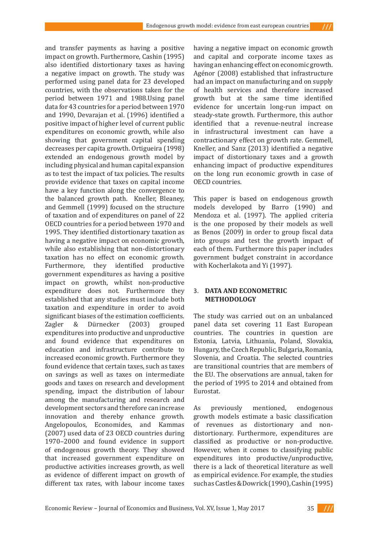and transfer payments as having a positive impact on growth. Furthermore, Cashin (1995) also identified distortionary taxes as having a negative impact on growth. The study was performed using panel data for 23 developed countries, with the observations taken for the period between 1971 and 1988.Using panel data for 43 countries for a period between 1970 and 1990, Devarajan et al. (1996) identified a positive impact of higher level of current public expenditures on economic growth, while also showing that government capital spending decreases per capita growth. Ortigueira (1998) extended an endogenous growth model by including physical and human capital expansion as to test the impact of tax policies. The results provide evidence that taxes on capital income have a key function along the convergence to the balanced growth path. Kneller, Bleaney, and Gemmell (1999) focused on the structure of taxation and of expenditures on panel of 22 OECD countries for a period between 1970 and 1995. They identified distortionary taxation as having a negative impact on economic growth, while also establishing that non-distortionary taxation has no effect on economic growth. Furthermore, they identified productive government expenditures as having a positive impact on growth, whilst non-productive expenditure does not. Furthermore they established that any studies must include both taxation and expenditure in order to avoid significant biases of the estimation coefficients.<br>
Zagler & Dürnecker (2003) grouped Dürnecker (2003) grouped expenditures into productive and unproductive and found evidence that expenditures on education and infrastructure contribute to increased economic growth. Furthermore they found evidence that certain taxes, such as taxes on savings as well as taxes on intermediate goods and taxes on research and development spending, impact the distribution of labour among the manufacturing and research and development sectors and therefore can increase innovation and thereby enhance growth. Angelopoulos, Economides, and Kammas (2007) used data of 23 OECD countries during 1970–2000 and found evidence in support of endogenous growth theory. They showed that increased government expenditure on productive activities increases growth, as well as evidence of different impact on growth of different tax rates, with labour income taxes

having a negative impact on economic growth and capital and corporate income taxes as having an enhancing effect on economic growth. Agénor (2008) established that infrastructure had an impact on manufacturing and on supply of health services and therefore increased growth but at the same time identified evidence for uncertain long-run impact on steady-state growth. Furthermore, this author identified that a revenue-neutral increase in infrastructural investment can have a contractionary effect on growth rate. Gemmell, Kneller, and Sanz (2013) identified a negative impact of distortionary taxes and a growth enhancing impact of productive expenditures on the long run economic growth in case of OECD countries.

 $111$ 

This paper is based on endogenous growth models developed by Barro (1990) and Mendoza et al. (1997). The applied criteria is the one proposed by their models as well as Benos (2009) in order to group fiscal data into groups and test the growth impact of each of them. Furthermore this paper includes government budget constraint in accordance with Kocherlakota and Yi (1997).

### 3. **DATA AND ECONOMETRIC METHODOLOGY**

The study was carried out on an unbalanced panel data set covering 11 East European countries. The countries in question are Estonia, Latvia, Lithuania, Poland, Slovakia, Hungary, the Czech Republic, Bulgaria, Romania, Slovenia, and Croatia. The selected countries are transitional countries that are members of the EU. The observations are annual, taken for the period of 1995 to 2014 and obtained from Eurostat.

As previously mentioned, endogenous growth models estimate a basic classification of revenues as distortionary and nondistortionary. Furthermore, expenditures are classified as productive or non-productive. However, when it comes to classifying public expenditures into productive/unproductive, there is a lack of theoretical literature as well as empirical evidence. For example, the studies such as Castles & Dowrick (1990), Cashin (1995)

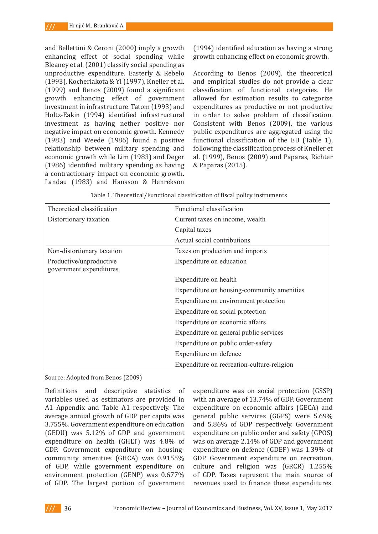and Bellettini & Ceroni (2000) imply a growth enhancing effect of social spending while Bleaney et al. (2001) classify social spending as unproductive expenditure. Easterly & Rebelo (1993), Kocherlakota & Yi (1997), Kneller et al. (1999) and Benos (2009) found a significant growth enhancing effect of government investment in infrastructure. Tatom (1993) and Holtz-Eakin (1994) identified infrastructural investment as having nether positive nor negative impact on economic growth. Kennedy (1983) and Weede (1986) found a positive relationship between military spending and economic growth while Lim (1983) and Deger (1986) identified military spending as having a contractionary impact on economic growth. Landau (1983) and Hansson & Henrekson

(1994) identified education as having a strong growth enhancing effect on economic growth.

According to Benos (2009), the theoretical and empirical studies do not provide a clear classification of functional categories. He allowed for estimation results to categorize expenditures as productive or not productive in order to solve problem of classification. Consistent with Benos (2009), the various public expenditures are aggregated using the functional classification of the EU (Table 1), following the classification process of Kneller et al. (1999), Benos (2009) and Paparas, Richter & Paparas (2015).

| Theoretical classification                         | Functional classification                  |  |  |  |
|----------------------------------------------------|--------------------------------------------|--|--|--|
| Distortionary taxation                             | Current taxes on income, wealth            |  |  |  |
|                                                    | Capital taxes                              |  |  |  |
|                                                    | Actual social contributions                |  |  |  |
| Non-distortionary taxation                         | Taxes on production and imports            |  |  |  |
| Productive/unproductive<br>government expenditures | Expenditure on education                   |  |  |  |
|                                                    | Expenditure on health                      |  |  |  |
|                                                    | Expenditure on housing-community amenities |  |  |  |
|                                                    | Expenditure on environment protection      |  |  |  |
|                                                    | Expenditure on social protection           |  |  |  |
|                                                    | Expenditure on economic affairs            |  |  |  |
|                                                    | Expenditure on general public services     |  |  |  |
|                                                    | Expenditure on public order-safety         |  |  |  |
|                                                    | Expenditure on defence                     |  |  |  |
|                                                    | Expenditure on recreation-culture-religion |  |  |  |

| Table 1. Theoretical/Functional classification of fiscal policy instruments |  |  |  |
|-----------------------------------------------------------------------------|--|--|--|
|-----------------------------------------------------------------------------|--|--|--|

Source: Adopted from Benos (2009)

Definitions and descriptive statistics of variables used as estimators are provided in A1 Appendix and Table A1 respectively. The average annual growth of GDP per capita was 3.755%. Government expenditure on education (GEDU) was 5.12% of GDP and government expenditure on health (GHLT) was 4.8% of GDP. Government expenditure on housingcommunity amenities (GHCA) was 0.9155% of GDP, while government expenditure on environment protection (GENP) was 0.677% of GDP. The largest portion of government

expenditure was on social protection (GSSP) with an average of 13.74% of GDP. Government expenditure on economic affairs (GECA) and general public services (GGPS) were 5.69% and 5.86% of GDP respectively. Government expenditure on public order and safety (GPOS) was on average 2.14% of GDP and government expenditure on defence (GDEF) was 1.39% of GDP. Government expenditure on recreation, culture and religion was (GRCR) 1.255% of GDP. Taxes represent the main source of revenues used to finance these expenditures.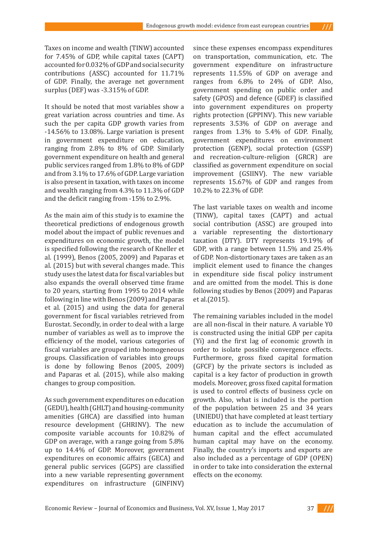Taxes on income and wealth (TINW) accounted for 7.45% of GDP, while capital taxes (CAPT) accounted for 0.032% of GDP and social security contributions (ASSC) accounted for 11.71% of GDP. Finally, the average net government surplus (DEF) was -3.315% of GDP.

It should be noted that most variables show a great variation across countries and time. As such the per capita GDP growth varies from -14.56% to 13.08%. Large variation is present in government expenditure on education, ranging from 2.8% to 8% of GDP. Similarly government expenditure on health and general public services ranged from 1.8% to 8% of GDP and from 3.1% to 17.6% of GDP. Large variation is also present in taxation, with taxes on income and wealth ranging from 4.3% to 11.3% of GDP and the deficit ranging from -15% to 2.9%.

As the main aim of this study is to examine the theoretical predictions of endogenous growth model about the impact of public revenues and expenditures on economic growth, the model is specified following the research of Kneller et al. (1999), Benos (2005, 2009) and Paparas et al. (2015) but with several changes made. This study uses the latest data for fiscal variables but also expands the overall observed time frame to 20 years, starting from 1995 to 2014 while following in line with Benos (2009) and Paparas et al. (2015) and using the data for general government for fiscal variables retrieved from Eurostat. Secondly, in order to deal with a large number of variables as well as to improve the efficiency of the model, various categories of fiscal variables are grouped into homogeneous groups. Classification of variables into groups is done by following Benos (2005, 2009) and Paparas et al. (2015), while also making changes to group composition.

As such government expenditures on education (GEDU), health (GHLT) and housing-community amenities (GHCA) are classified into human resource development (GHRINV). The new composite variable accounts for 10.82% of GDP on average, with a range going from 5.8% up to 14.4% of GDP. Moreover, government expenditures on economic affairs (GECA) and general public services (GGPS) are classified into a new variable representing government expenditures on infrastructure (GINFINV) since these expenses encompass expenditures on transportation, communication, etc. The government expenditure on infrastructure represents 11.55% of GDP on average and ranges from 6.8% to 24% of GDP. Also, government spending on public order and safety (GPOS) and defence (GDEF) is classified into government expenditures on property rights protection (GPPINV). This new variable represents 3.53% of GDP on average and ranges from 1.3% to 5.4% of GDP. Finally, government expenditures on environment protection (GENP), social protection (GSSP) and recreation-culture-religion (GRCR) are classified as government expenditure on social improvement (GSIINV). The new variable represents 15.67% of GDP and ranges from 10.2% to 22.3% of GDP.

The last variable taxes on wealth and income (TINW), capital taxes (CAPT) and actual social contribution (ASSC) are grouped into a variable representing the distortionary taxation (DTY). DTY represents 19.19% of GDP, with a range between 11.5% and 25.4% of GDP. Non-distortionary taxes are taken as an implicit element used to finance the changes in expenditure side fiscal policy instrument and are omitted from the model. This is done following studies by Benos (2009) and Paparas et al.(2015).

The remaining variables included in the model are all non-fiscal in their nature. A variable Y0 is constructed using the initial GDP per capita (Yi) and the first lag of economic growth in order to isolate possible convergence effects. Furthermore, gross fixed capital formation (GFCF) by the private sectors is included as capital is a key factor of production in growth models. Moreover, gross fixed capital formation is used to control effects of business cycle on growth. Also, what is included is the portion of the population between 25 and 34 years (UNIEDU) that have completed at least tertiary education as to include the accumulation of human capital and the effect accumulated human capital may have on the economy. Finally, the country's imports and exports are also included as a percentage of GDP (OPEN) in order to take into consideration the external effects on the economy.

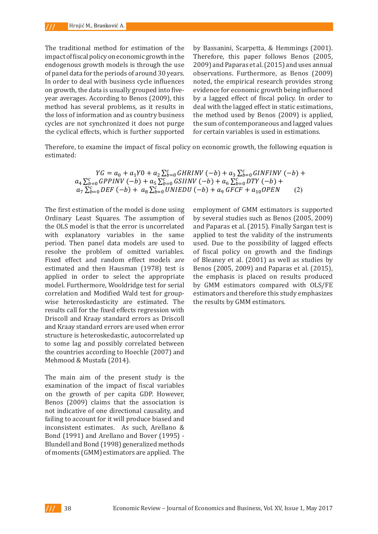The traditional method for estimation of the impact of fiscal policy on economic growth in the endogenous growth models is through the use of panel data for the periods of around 30 years. In order to deal with business cycle influences on growth, the data is usually grouped into fiveyear averages. According to Benos (2009), this method has several problems, as it results in the loss of information and as country business cycles are not synchronized it does not purge the cyclical effects, which is further supported

by Bassanini, Scarpetta, & Hemmings (2001).  $\frac{1}{2}$  iscal policy on economic growth in the Therefore, this paper follows Benos (2005, us growth models is through the use  $2009$  and Paparas et al. (2015) and uses annual problems, as it is easily ata for the periods of around 30 years. observations. Furthermore, as Benos (2009) o deal with business cycle influences hoted, the empirical research provides strong , the data is usually grouped into five-  $\;$  evidence for economic growth being influenced  $\;$ iges. According to Benos (2009), this by a lagged effect of fiscal policy. In order to as several problems, as it results in  $\;$  deal with the lagged effect in static estimations, information and as country business the method used by Benos (2009) is applied, not synchronized it does not purge the sum of contemporaneous and lagged values for certain variables is used in estimations. The traditional method for estimation of the impact of fiscal policy on economic growth in  $t$  is the endow to the endown of the use of passaning  $t$  around  $\alpha$  around 3000  $\sigma$  . The period 3000  $\sigma$ 

Therefore, to examine the impact of fiscal policy on economic growth, the following equation is Therefore, to examine the impact of fiscal policy on economic growth, the following equation estimated: is estimated:

the country's imports and exports are also included as a percentage of GDP (OPEN) in order

$$
YG = a_0 + a_1 Y0 + a_2 \sum_{b=0}^{c} GHRINV (-b) + a_3 \sum_{b=0}^{c} GINFINV (-b) + a_4 \sum_{b=0}^{c} GPPINV (-b) + a_5 \sum_{b=0}^{c} GSIINV (-b) + a_6 \sum_{b=0}^{c} DTY (-b) + a_7 \sum_{b=0}^{c} DEF (-b) + a_8 \sum_{b=0}^{c} UNIEDU (-b) + a_9 GFCF + a_{10} OPEN
$$
 (2)

The first estimation of the model is done using Ordinary Least Squares. The assumption of the OLS model is that the error is uncorrelated with explanatory variables in the same period. Then panel data models are used to resolve the problem of omitted variables. Fixed effect and random effect models are estimated and then Hausman (1978) test is applied in order to select the appropriate model. Furthermore, Wooldridge test for serial correlation and Modified Wald test for groupwise heteroskedasticity are estimated. The results call for the fixed effects regression with Driscoll and Kraay standard errors as Driscoll and Kraay standard errors are used when error structure is heteroskedastic, autocorrelated up to some lag and possibly correlated between the countries according to Hoechle (2007) and Mehmood & Mustafa (2014).

The main aim of the present study is the examination of the impact of fiscal variables on the growth of per capita GDP. However, Benos (2009) claims that the association is not indicative of one directional causality, and failing to account for it will produce biased and inconsistent estimates. As such, Arellano & Bond (1991) and Arellano and Bover (1995) - Blundell and Bond (1998) generalized methods of moments (GMM) estimators are applied. The

otimation of the model is done using organization of CMM estimators is supported. the October of the Occurrence is the explanatory in the community of the same period.  $T$  panel data models are used to resolve the problem of  $T$  or  $T$  and  $T$  and  $T$  and  $T$  and  $T$  and  $T$  and  $T$  and  $T$  and  $T$  and  $T$  and  $T$  and  $T$  and  $T$  and  $T$  and  $T$  and  $T$  and  $T$  and  $T$  and  $T$  and  $T$  a random effect models are estimated and the paras of an (2019). I many sargan test is applied in order to select lanatory variables in the same applied to test the validity of the instruments nen panel data models are used to used. Due to the possibility of lagged effects he problem of omitted variables. of fiscal policy on growth and the findings ect and random effect models are of Bleaney et al. (2001) as well as studies by let employment of GMM estimators is supported by several studies such as Benos (2005, 2009) and Paparas et al. (2015). Finally Sargan test is Benos (2005, 2009) and Paparas et al. (2015), the emphasis is placed on results produced by GMM estimators compared with OLS/FE estimators and therefore this study emphasizes the results by GMM estimators.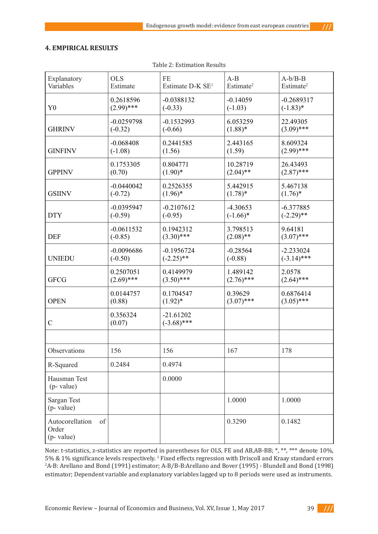$111$ 

## **4. EMPIRICAL RESULTS**

| Explanatory                                  | <b>OLS</b>         | $\rm FE$                     | $A-B$                 | $A-b/B-B$             |  |
|----------------------------------------------|--------------------|------------------------------|-----------------------|-----------------------|--|
| Variables                                    | Estimate           | Estimate D-K SE <sup>1</sup> | Estimate <sup>2</sup> | Estimate <sup>2</sup> |  |
| Y <sub>0</sub>                               | 0.2618596          | $-0.0388132$                 | $-0.14059$            | $-0.2689317$          |  |
|                                              | $(2.99)$ ***       | $(-0.33)$                    | $(-1.03)$             | $(-1.83)*$            |  |
| <b>GHRINV</b>                                | $-0.0259798$       | $-0.1532993$                 | 6.053259              | 22.49305              |  |
|                                              | $(-0.32)$          | $(-0.66)$                    | $(1.88)$ *            | $(3.09)$ ***          |  |
| <b>GINFINV</b>                               | $-0.068408$        | 0.2441585                    | 2.443165              | 8.609324              |  |
|                                              | $(-1.08)$          | (1.56)                       | (1.59)                | $(2.99)$ ***          |  |
| <b>GPPINV</b>                                | 0.1753305          | 0.804771                     | 10.28719              | 26.43493              |  |
|                                              | (0.70)             | $(1.90)*$                    | $(2.04)$ **           | $(2.87)$ ***          |  |
| <b>GSIINV</b>                                | $-0.0440042$       | 0.2526355                    | 5.442915              | 5.467138              |  |
|                                              | $(-0.72)$          | $(1.96)^*$                   | $(1.78)^*$            | $(1.76)^*$            |  |
| <b>DTY</b>                                   | $-0.0395947$       | $-0.2107612$                 | $-4.30653$            | $-6.377885$           |  |
|                                              | $(-0.59)$          | $(-0.95)$                    | $(-1.66)$ *           | $(-2.29)$ **          |  |
| <b>DEF</b>                                   | $-0.0611532$       | 0.1942312                    | 3.798513              | 9.64181               |  |
|                                              | $(-0.85)$          | $(3.30)$ ***                 | $(2.08)$ **           | $(3.07)$ ***          |  |
| <b>UNIEDU</b>                                | $-0.0096686$       | $-0.1956724$                 | $-0.28564$            | $-2.233024$           |  |
|                                              | $(-0.50)$          | $(-2.25)$ **                 | $(-0.88)$             | $(-3.14)$ ***         |  |
| <b>GFCG</b>                                  | 0.2507051          | 0.4149979                    | 1.489142              | 2.0578                |  |
|                                              | $(2.69)$ ***       | $(3.50)$ ***                 | $(2.76)$ ***          | $(2.64)$ ***          |  |
| <b>OPEN</b>                                  | 0.0144757          | 0.1704547                    | 0.39629               | 0.6876414             |  |
|                                              | (0.88)             | $(1.92)^*$                   | $(3.07)$ ***          | $(3.05)$ ***          |  |
| $\mathcal{C}$                                | 0.356324<br>(0.07) | $-21.61202$<br>$(-3.68)$ *** |                       |                       |  |
|                                              |                    |                              |                       |                       |  |
| Observations                                 | 156                | 156                          | 167                   | 178                   |  |
| R-Squared                                    | 0.2484             | 0.4974                       |                       |                       |  |
| Hausman Test<br>$(p$ - value)                |                    | 0.0000                       |                       |                       |  |
| <b>Sargan Test</b><br>(p- value)             |                    |                              | 1.0000                | 1.0000                |  |
| Autocorellation<br>of<br>Order<br>(p- value) |                    |                              | 0.3290                | 0.1482                |  |

Table 2: Estimation Results

Note: t-statistics, z-statistics are reported in parentheses for OLS, FE and AB,AB-BB; \*, \*\*, \*\*\* denote 10%, 5% & 1% significance levels respectively. <sup>1</sup> Fixed effects regression with Driscoll and Kraay standard errors 2 A-B: Arellano and Bond (1991) estimator; A-B/B-B:Arellano and Bover (1995) - Blundell and Bond (1998) estimator; Dependent variable and explanatory variables lagged up to 8 periods were used as instruments.

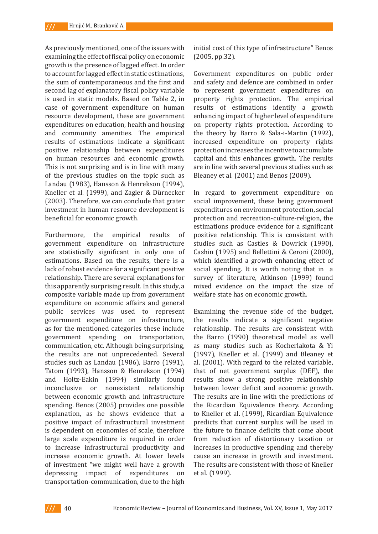As previously mentioned, one of the issues with examining the effect of fiscal policy on economic growth is the presence of lagged effect. In order to account for lagged effect in static estimations, the sum of contemporaneous and the first and second lag of explanatory fiscal policy variable is used in static models. Based on Table 2, in case of government expenditure on human resource development, these are government expenditures on education, health and housing and community amenities. The empirical results of estimations indicate a significant positive relationship between expenditures on human resources and economic growth. This is not surprising and is in line with many of the previous studies on the topic such as Landau (1983), Hansson & Henrekson (1994), Kneller et al. (1999), and Zagler & Dürnecker (2003). Therefore, we can conclude that grater investment in human resource development is beneficial for economic growth.

Furthermore, the empirical results of government expenditure on infrastructure are statistically significant in only one of estimations. Based on the results, there is a lack of robust evidence for a significant positive relationship. There are several explanations for this apparently surprising result. In this study, a composite variable made up from government expenditure on economic affairs and general public services was used to represent government expenditure on infrastructure, as for the mentioned categories these include government spending on transportation, communication, etc. Although being surprising, the results are not unprecedented. Several studies such as Landau (1986), Barro (1991), Tatom (1993), Hansson & Henrekson (1994) and Holtz-Eakin (1994) similarly found inconclusive or nonexistent relationship between economic growth and infrastructure spending. Benos (2005) provides one possible explanation, as he shows evidence that a positive impact of infrastructural investment is dependent on economies of scale, therefore large scale expenditure is required in order to increase infrastructural productivity and increase economic growth. At lower levels of investment "we might well have a growth depressing impact of expenditures on transportation-communication, due to the high

initial cost of this type of infrastructure" Benos (2005, pp.32).

Government expenditures on public order and safety and defence are combined in order to represent government expenditures on property rights protection. The empirical results of estimations identify a growth enhancing impact of higher level of expenditure on property rights protection. According to the theory by Barro & Sala-i-Martin (1992), increased expenditure on property rights protection increases the incentive to accumulate capital and this enhances growth. The results are in line with several previous studies such as Bleaney et al. (2001) and Benos (2009).

In regard to government expenditure on social improvement, these being government expenditures on environment protection, social protection and recreation-culture-religion, the estimations produce evidence for a significant positive relationship. This is consistent with studies such as Castles & Dowrick (1990), Cashin (1995) and Bellettini & Ceroni (2000), which identified a growth enhancing effect of social spending. It is worth noting that in a survey of literature, Atkinson (1999) found mixed evidence on the impact the size of welfare state has on economic growth.

Examining the revenue side of the budget, the results indicate a significant negative relationship. The results are consistent with the Barro (1990) theoretical model as well as many studies such as Kocherlakota & Yi (1997), Kneller et al. (1999) and Bleaney et al. (2001). With regard to the related variable, that of net government surplus (DEF), the results show a strong positive relationship between lower deficit and economic growth. The results are in line with the predictions of the Ricardian Equivalence theory. According to Kneller et al. (1999), Ricardian Equivalence predicts that current surplus will be used in the future to finance deficits that come about from reduction of distortionary taxation or increases in productive spending and thereby cause an increase in growth and investment. The results are consistent with those of Kneller et al. (1999).

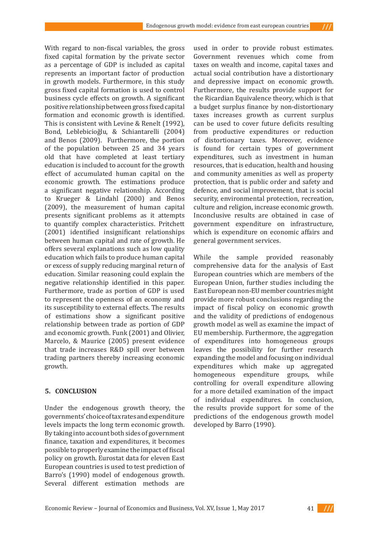With regard to non-fiscal variables, the gross fixed capital formation by the private sector as a percentage of GDP is included as capital represents an important factor of production in growth models. Furthermore, in this study gross fixed capital formation is used to control business cycle effects on growth. A significant positive relationship between gross fixed capital formation and economic growth is identified. This is consistent with Levine & Renelt (1992), Bond, Leblebicioǧlu, & Schiantarelli (2004) and Benos (2009). Furthermore, the portion of the population between 25 and 34 years old that have completed at least tertiary education is included to account for the growth effect of accumulated human capital on the economic growth. The estimations produce a significant negative relationship. According to Krueger & Lindahl (2000) and Benos (2009), the measurement of human capital presents significant problems as it attempts to quantify complex characteristics. Pritchett (2001) identified insignificant relationships between human capital and rate of growth. He offers several explanations such as low quality education which fails to produce human capital or excess of supply reducing marginal return of education. Similar reasoning could explain the negative relationship identified in this paper. Furthermore, trade as portion of GDP is used to represent the openness of an economy and its susceptibility to external effects. The results of estimations show a significant positive relationship between trade as portion of GDP and economic growth. Funk (2001) and Olivier, Marcelo, & Maurice (2005) present evidence that trade increases R&D spill over between trading partners thereby increasing economic growth.

### **5. CONCLUSION**

Under the endogenous growth theory, the governments' choice of tax rates and expenditure levels impacts the long term economic growth. By taking into account both sides of government finance, taxation and expenditures, it becomes possible to properly examine the impact of fiscal policy on growth. Eurostat data for eleven East European countries is used to test prediction of Barro's (1990) model of endogenous growth. Several different estimation methods are

used in order to provide robust estimates. Government revenues which come from taxes on wealth and income, capital taxes and actual social contribution have a distortionary and depressive impact on economic growth. Furthermore, the results provide support for the Ricardian Equivalence theory, which is that a budget surplus finance by non-distortionary taxes increases growth as current surplus can be used to cover future deficits resulting from productive expenditures or reduction of distortionary taxes. Moreover, evidence is found for certain types of government expenditures, such as investment in human resources, that is education, health and housing and community amenities as well as property protection, that is public order and safety and defence, and social improvement, that is social security, environmental protection, recreation, culture and religion, increase economic growth. Inconclusive results are obtained in case of government expenditure on infrastructure, which is expenditure on economic affairs and general government services.

 $111$ 

While the sample provided reasonably comprehensive data for the analysis of East European countries which are members of the European Union, further studies including the East European non-EU member countries might provide more robust conclusions regarding the impact of fiscal policy on economic growth and the validity of predictions of endogenous growth model as well as examine the impact of EU membership. Furthermore, the aggregation of expenditures into homogeneous groups leaves the possibility for further research expanding the model and focusing on individual expenditures which make up aggregated homogeneous expenditure groups, while controlling for overall expenditure allowing for a more detailed examination of the impact of individual expenditures. In conclusion, the results provide support for some of the predictions of the endogenous growth model developed by Barro (1990).

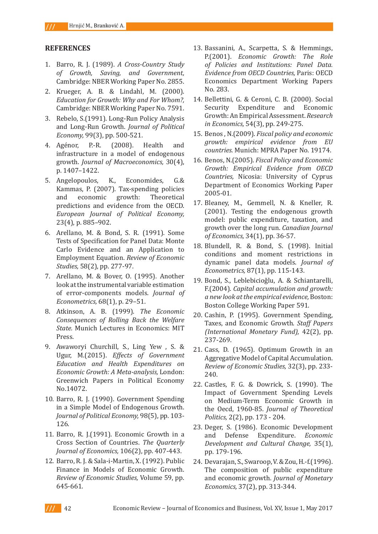### **REFERENCES**

- 1. Barro, R. J. (1989). *A Cross-Country Study of Growth, Saving, and Government,*  Cambridge: NBER Working Paper No. 2855.
- 2. Krueger, A. B. & Lindahl, M. (2000). *Education for Growth: Why and For Whom?,*  Cambridge: NBER Working Paper No. 7591.
- 3. Rebelo, S.(1991). Long-Run Policy Analysis and Long-Run Growth. *Journal of Political Economy,* 99(3), pp. 500-521.
- 4. Agénor, P.-R. (2008). Health and infrastructure in a model of endogenous growth. *Journal of Macroeconomics,* 30(4), p. 1407–1422.
- 5. Angelopoulos, K., Economides, G.& Kammas, P. (2007). Tax-spending policies<br>and economic growth: Theoretical and economic growth: Theoretical predictions and evidence from the OECD. *European Journal of Political Economy,*  23(4), p. 885–902.
- 6. Arellano, M. & Bond, S. R. (1991). Some Tests of Specification for Panel Data: Monte Carlo Evidence and an Application to Employment Equation. *Review of Economic Studies,* 58(2), pp. 277-97.
- 7. Arellano, M. & Bover, O. (1995). Another look at the instrumental variable estimation of error-components models. *Journal of Econometrics,* 68(1), p. 29–51.
- 8. Atkinson, A. B. (1999). *The Economic Consequences of Rolling Back the Welfare State.* Munich Lectures in Economics: MIT Press.
- 9. Awaworyi Churchill, S., Ling Yew , S. & Ugur, M.(2015). *Effects of Government Education and Health Expenditures on Economic Growth: A Meta-analysis,* London: Greenwich Papers in Political Economy No.14072.
- 10. Barro, R. J. (1990). Government Spending in a Simple Model of Endogenous Growth. *Journal of Political Economy,* 98(5), pp. 103- 126.
- 11. Barro, R. J.(1991). Economic Growth in a Cross Section of Countries. *The Quarterly Journal of Economics,* 106(2), pp. 407-443.
- 12. Barro, R. J. & Sala-i-Martin, X. (1992). Public Finance in Models of Economic Growth. *Review of Economic Studies,* Volume 59, pp. 645-661.
- 13. Bassanini, A., Scarpetta, S. & Hemmings, P.(2001). *Economic Growth: The Role of Policies and Institutions: Panel Data. Evidence from OECD Countries,* Paris: OECD Economics Department Working Papers No. 283.
- 14. Bellettini, G. & Ceroni, C. B. (2000). Social Security Expenditure and Economic Growth: An Empirical Assessment. *Research in Economics,* 54(3), pp. 249-275.
- 15. Benos , N.(2009). *Fiscal policy and economic growth: empirical evidence from EU countries.* Munich: MPRA Paper No. 19174.
- 16. Benos, N.(2005). *Fiscal Policy and Economic Growth: Empirical Evidence from OECD Countries,* Nicosia: University of Cyprus Department of Economics Working Paper 2005-01.
- 17. Bleaney, M., Gemmell, N. & Kneller, R. (2001). Testing the endogenous growth model: public expenditure, taxation, and growth over the long run. *Canadian Journal of Economics,* 34(1), pp. 36-57.
- 18. Blundell, R. & Bond, S. (1998). Initial conditions and moment restrictions in dynamic panel data models. *Journal of Econometrics,* 87(1), pp. 115-143.
- 19. Bond, S., Leblebicioǧlu, A. & Schiantarelli, F.(2004). *Capital accumulation and growth: a new look at the empirical evidence,* Boston: Boston College Working Paper 591.
- 20. Cashin, P. (1995). Government Spending, Taxes, and Economic Growth. *Staff Papers (International Monetary Fund),* 42(2), pp. 237-269.
- 21. Cass, D. (1965). Optimum Growth in an Aggregative Model of Capital Accumulation. *Review of Economic Studies,* 32(3), pp. 233- 240.
- 22. Castles, F. G. & Dowrick, S. (1990). The Impact of Government Spending Levels on Medium-Term Economic Growth in the Oecd, 1960-85. *Journal of Theoretical Politics,* 2(2), pp. 173 - 204.
- 23. Deger, S. (1986). Economic Development and Defense Expenditure. *Economic Development and Cultural Change,* 35(1), pp. 179-196.
- 24. Devarajan, S., Swaroop, V. & Zou, H.-f.(1996). The composition of public expenditure and economic growth. *Journal of Monetary Economics,* 37(2), pp. 313-344.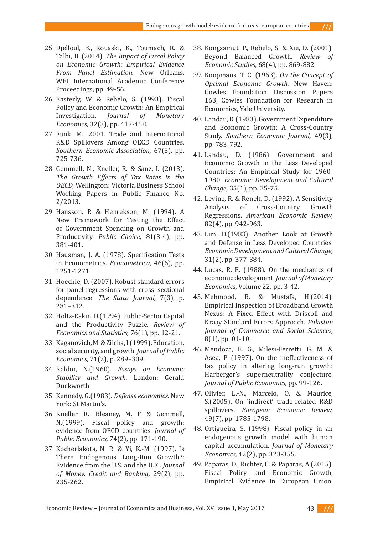- 25. Djelloul, B., Rouaski, K., Toumach, R. & Talbi, B. (2014). *The Impact of Fiscal Policy on Economic Growth: Empirical Evidence From Panel Estimation.* New Orleans, WEI International Academic Conference Proceedings, pp. 49-56.
- 26. Easterly, W. & Rebelo, S. (1993). Fiscal Policy and Economic Growth: An Empirical<br>Investigation. *Journal of Monetary* Investigation. *Journal of Monetary Economics,* 32(3), pp. 417-458.
- 27. Funk, M., 2001. Trade and International R&D Spillovers Among OECD Countries. *Southern Economic Association,* 67(3), pp. 725-736.
- 28. Gemmell, N., Kneller, R. & Sanz, I. (2013). *The Growth Effects of Tax Rates in the OECD,* Wellington: Victoria Business School Working Papers in Public Finance No. 2/2013.
- 29. Hansson, P. & Henrekson, M. (1994). A New Framework for Testing the Effect of Government Spending on Growth and Productivity. *Public Choice,* 81(3-4), pp. 381-401.
- 30. Hausman, J. A. (1978). Specification Tests in Econometrics. *Econometrica,* 46(6), pp. 1251-1271.
- 31. Hoechle, D. (2007). Robust standard errors for panel regressions with cross–sectional dependence. *The Stata Journal,* 7(3), p. 281–312.
- 32. Holtz-Eakin, D.(1994). Public-Sector Capital and the Productivity Puzzle. *Review of Economics and Statistics,* 76(1), pp. 12-21.
- 33. Kaganovich, M. & Zilcha, I.(1999). Education, social security, and growth. *Journal of Public Economics,* 71(2), p. 289–309.
- 34. Kaldor, N.(1960). *Essays on Economic Stability and Growth.* London: Gerald Duckworth.
- 35. Kennedy, G.(1983). *Defense economics.* New York: St Martin's.
- 36. Kneller, R., Bleaney, M. F. & Gemmell, N.(1999). Fiscal policy and growth: evidence from OECD countries. *Journal of Public Economics,* 74(2), pp. 171-190.
- 37. Kocherlakota, N. R. & Yi, K.-M. (1997). Is There Endogenous Long-Run Growth?: Evidence from the U.S. and the U.K.. *Journal of Money, Credit and Banking,* 29(2), pp. 235-262.
- 38. Kongsamut, P., Rebelo, S. & Xie, D. (2001). Beyond Balanced Growth. *Review of Economic Studies,* 68(4), pp. 869-882.
- 39. Koopmans, T. C. (1963). *On the Concept of Optimal Economic Growth.* New Haven: Cowles Foundation Discussion Papers 163, Cowles Foundation for Research in Economics, Yale University.
- 40. Landau, D. (1983). Government Expenditure and Economic Growth: A Cross-Country Study. *Southern Economic Journal,* 49(3), pp. 783-792.
- 41. Landau, D. (1986). Government and Economic Growth in the Less Developed Countries: An Empirical Study for 1960- 1980. *Economic Development and Cultural Change,* 35(1), pp. 35-75.
- 42. Levine, R. & Renelt, D. (1992). A Sensitivity Cross-Country Regressions. *American Economic Review,*  82(4), pp. 942-963.
- 43. Lim, D.(1983). Another Look at Growth and Defense in Less Developed Countries. *Economic Development and Cultural Change,*  31(2), pp. 377-384.
- 44. Lucas, R. E. (1988). On the mechanics of economic development. *Journal of Monetary Economics,* Volume 22, pp. 3-42.
- 45. Mehmood, B. & Mustafa, H.(2014). Empirical Inspection of Broadband Growth Nexus: A Fixed Effect with Driscoll and Kraay Standard Errors Approach. *Pakistan Journal of Commerce and Social Sciences,*  8(1), pp. 01-10.
- 46. Mendoza, E. G., Milesi-Ferretti, G. M. & Asea, P. (1997). On the ineffectiveness of tax policy in altering long-run growth: Harberger's superneutrality conjecture. *Journal of Public Economics,* pp. 99-126.
- 47. Olivier, L.-N., Marcelo, O. & Maurice, S.(2005). On `indirect' trade-related R&D spillovers. *European Economic Review,*  49(7), pp. 1785-1798.
- 48. Ortigueira, S. (1998). Fiscal policy in an endogenous growth model with human capital accumulation. *Journal of Monetary Economics,* 42(2), pp. 323-355.
- 49. Paparas, D., Richter, C. & Paparas, A.(2015). Fiscal Policy and Economic Growth, Empirical Evidence in European Union.

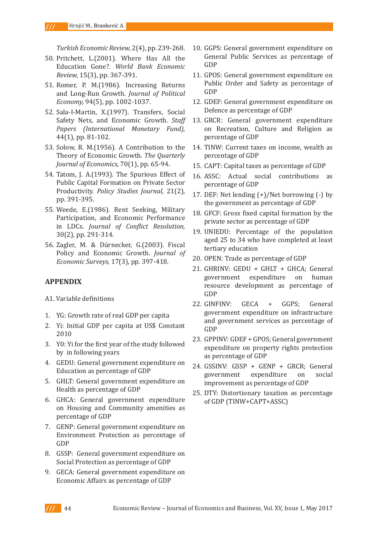*Turkish Economic Review,* 2(4), pp. 239-268.

- 50. Pritchett, L.(2001). Where Has All the Education Gone?. *World Bank Economic Review,* 15(3), pp. 367-391.
- 51. Romer, P. M.(1986). Increasing Returns and Long-Run Growth. *Journal of Political Economy,* 94(5), pp. 1002-1037.
- 52. Sala-I-Martin, X.(1997). Transfers, Social Safety Nets, and Economic Growth. *Staff Papers (International Monetary Fund),*  44(1), pp. 81-102.
- 53. Solow, R. M.(1956). A Contribution to the Theory of Economic Growth. *The Quarterly Journal of Economics,* 70(1), pp. 65-94.
- 54. Tatom, J. A.(1993). The Spurious Effect of Public Capital Formation on Private Sector Productivity. *Policy Studies Journal,* 21(2), pp. 391-395.
- 55. Weede, E.(1986). Rent Seeking, Military Participation, and Economic Performance in LDCs. *Journal of Conflict Resolution,*  30(2), pp. 291-314.
- 56. Zagler, M. & Dürnecker, G.(2003). Fiscal Policy and Economic Growth. *Journal of Economic Surveys,* 17(3), pp. 397-418.

# **APPENDIX**

- A1. Variable definitions
- 1. YG: Growth rate of real GDP per capita
- 2. Yi: Initial GDP per capita at US\$ Constant 2010
- 3. Y0: Yi for the first year of the study followed by in following years
- 4. GEDU: General government expenditure on Education as percentage of GDP
- 5. GHLT: General government expenditure on Health as percentage of GDP
- 6. GHCA: General government expenditure on Housing and Community amenities as percentage of GDP
- 7. GENP: General government expenditure on Environment Protection as percentage of GDP
- 8. GSSP: General government expenditure on Social Protection as percentage of GDP
- 9. GECA: General government expenditure on Economic Affairs as percentage of GDP
- 10. GGPS: General government expenditure on General Public Services as percentage of GDP
- 11. GPOS: General government expenditure on Public Order and Safety as percentage of GDP
- 12. GDEF: General government expenditure on Defence as percentage of GDP
- 13. GRCR: General government expenditure on Recreation, Culture and Religion as percentage of GDP
- 14. TINW: Current taxes on income, wealth as percentage of GDP
- 15. CAPT: Capital taxes as percentage of GDP
- 16. ASSC: Actual social contributions as percentage of GDP
- 17. DEF: Net lending (+)/Net borrowing (-) by the government as percentage of GDP
- 18. GFCF: Gross fixed capital formation by the private sector as percentage of GDP
- 19. UNIEDU: Percentage of the population aged 25 to 34 who have completed at least tertiary education
- 20. OPEN: Trade as percentage of GDP
- 21. GHRINV: GEDU + GHLT + GHCA; General government expenditure on human resource development as percentage of GDP
- 22. GINFINV: GECA + GGPS; General government expenditure on infrastructure and government services as percentage of GDP
- 23. GPPINV: GDEF + GPOS; General government expenditure on property rights protection as percentage of GDP
- 24. GSSINV: GSSP + GENP + GRCR; General<br>government expenditure on social government expenditure on improvement as percentage of GDP
- 25. DTY: Distortionary taxation as percentage of GDP (TINW+CAPT+ASSC)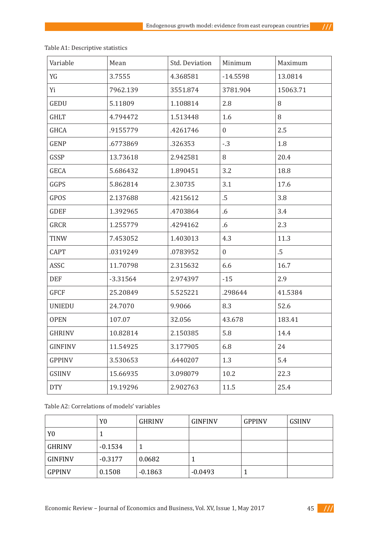$111$ 

| Variable       | Mean       | Std. Deviation | Minimum        | Maximum  |
|----------------|------------|----------------|----------------|----------|
| YG             | 3.7555     | 4.368581       | $-14.5598$     | 13.0814  |
| Yi             | 7962.139   | 3551.874       | 3781.904       | 15063.71 |
| <b>GEDU</b>    | 5.11809    | 1.108814       | 2.8            | 8        |
| <b>GHLT</b>    | 4.794472   | 1.513448       | 1.6            | 8        |
| <b>GHCA</b>    | .9155779   | .4261746       | $\overline{0}$ | 2.5      |
| <b>GENP</b>    | .6773869   | .326353        | $-.3$          | 1.8      |
| GSSP           | 13.73618   | 2.942581       | 8              | 20.4     |
| GECA           | 5.686432   | 1.890451       | 3.2            | 18.8     |
| GGPS           | 5.862814   | 2.30735        | 3.1            | 17.6     |
| GPOS           | 2.137688   | .4215612       | $.5\,$         | 3.8      |
| <b>GDEF</b>    | 1.392965   | .4703864       | .6             | 3.4      |
| GRCR           | 1.255779   | .4294162       | $.6\,$         | 2.3      |
| <b>TINW</b>    | 7.453052   | 1.403013       | 4.3            | 11.3     |
| <b>CAPT</b>    | .0319249   | .0783952       | $\overline{0}$ | $.5\,$   |
| ASSC           | 11.70798   | 2.315632       | 6.6            | 16.7     |
| <b>DEF</b>     | $-3.31564$ | 2.974397       | $-15$          | 2.9      |
| <b>GFCF</b>    | 25.20849   | 5.525221       | .298644        | 41.5384  |
| <b>UNIEDU</b>  | 24.7070    | 9.9066         | 8.3            | 52.6     |
| <b>OPEN</b>    | 107.07     | 32.056         | 43.678         | 183.41   |
| <b>GHRINV</b>  | 10.82814   | 2.150385       | 5.8            | 14.4     |
| <b>GINFINV</b> | 11.54925   | 3.177905       | 6.8            | 24       |
| <b>GPPINV</b>  | 3.530653   | .6440207       | 1.3            | 5.4      |
| GSIINV         | 15.66935   | 3.098079       | 10.2           | 22.3     |
| <b>DTY</b>     | 19.19296   | 2.902763       | 11.5           | 25.4     |
|                |            |                |                |          |

Table A1: Descriptive statistics

Table A2: Correlations of models' variables

|                | Y0        | <b>GHRINV</b> | <b>GINFINV</b> | <b>GPPINV</b> | <b>GSIINV</b> |
|----------------|-----------|---------------|----------------|---------------|---------------|
| Y <sub>0</sub> | J.        |               |                |               |               |
| <b>GHRINV</b>  | $-0.1534$ |               |                |               |               |
| <b>GINFINV</b> | $-0.3177$ | 0.0682        |                |               |               |
| <b>GPPINV</b>  | 0.1508    | $-0.1863$     | $-0.0493$      |               |               |

Economic Review – Journal of Economics and Business, Vol. XV, Issue 1, May 2017 45 ///